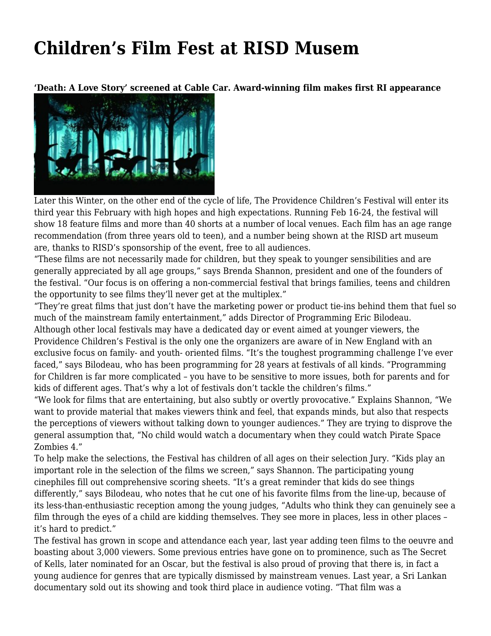## **[Children's Film Fest at RISD Musem](https://motifri.com/childrens-film-fest-at-risd-musem/)**

**'Death: A Love Story' screened at Cable Car. Award-winning film makes first RI appearance**



Later this Winter, on the other end of the cycle of life, The Providence Children's Festival will enter its third year this February with high hopes and high expectations. Running Feb 16-24, the festival will show 18 feature films and more than 40 shorts at a number of local venues. Each film has an age range recommendation (from three years old to teen), and a number being shown at the RISD art museum are, thanks to RISD's sponsorship of the event, free to all audiences.

"These films are not necessarily made for children, but they speak to younger sensibilities and are generally appreciated by all age groups," says Brenda Shannon, president and one of the founders of the festival. "Our focus is on offering a non-commercial festival that brings families, teens and children the opportunity to see films they'll never get at the multiplex."

"They're great films that just don't have the marketing power or product tie-ins behind them that fuel so much of the mainstream family entertainment," adds Director of Programming Eric Bilodeau. Although other local festivals may have a dedicated day or event aimed at younger viewers, the Providence Children's Festival is the only one the organizers are aware of in New England with an exclusive focus on family- and youth- oriented films. "It's the toughest programming challenge I've ever faced," says Bilodeau, who has been programming for 28 years at festivals of all kinds. "Programming for Children is far more complicated – you have to be sensitive to more issues, both for parents and for kids of different ages. That's why a lot of festivals don't tackle the children's films."

"We look for films that are entertaining, but also subtly or overtly provocative." Explains Shannon, "We want to provide material that makes viewers think and feel, that expands minds, but also that respects the perceptions of viewers without talking down to younger audiences." They are trying to disprove the general assumption that, "No child would watch a documentary when they could watch Pirate Space Zombies 4."

To help make the selections, the Festival has children of all ages on their selection Jury. "Kids play an important role in the selection of the films we screen," says Shannon. The participating young cinephiles fill out comprehensive scoring sheets. "It's a great reminder that kids do see things differently," says Bilodeau, who notes that he cut one of his favorite films from the line-up, because of its less-than-enthusiastic reception among the young judges, "Adults who think they can genuinely see a film through the eyes of a child are kidding themselves. They see more in places, less in other places – it's hard to predict."

The festival has grown in scope and attendance each year, last year adding teen films to the oeuvre and boasting about 3,000 viewers. Some previous entries have gone on to prominence, such as The Secret of Kells, later nominated for an Oscar, but the festival is also proud of proving that there is, in fact a young audience for genres that are typically dismissed by mainstream venues. Last year, a Sri Lankan documentary sold out its showing and took third place in audience voting. "That film was a